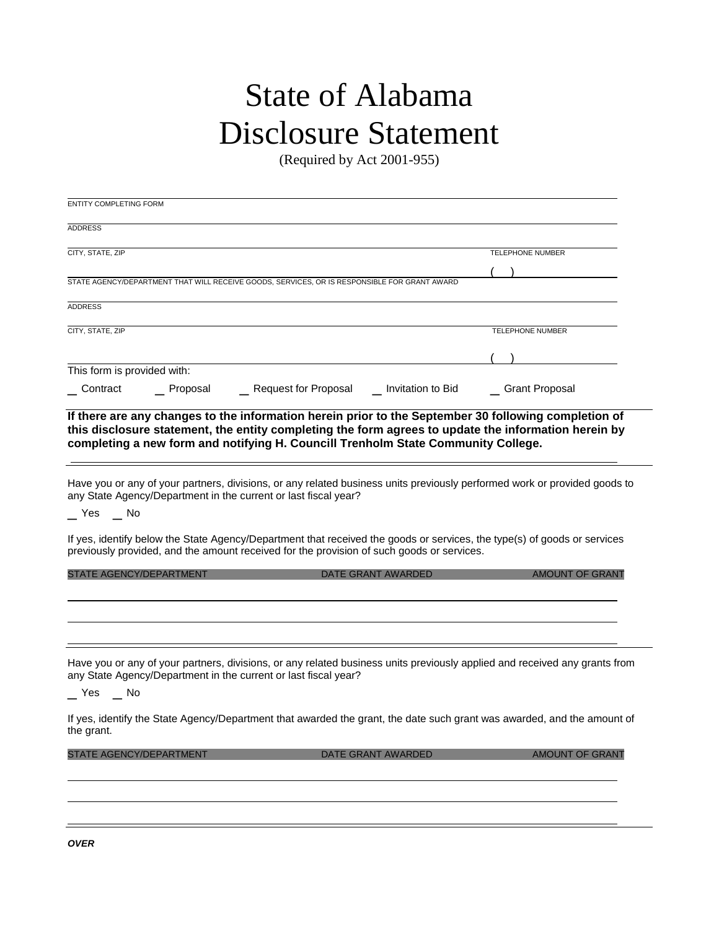## State of Alabama Disclosure Statement

(Required by Act 2001-955)

| <b>ENTITY COMPLETING FORM</b>  |             |                                                                                                                                                                                                                                                                                                   |                           |                         |  |
|--------------------------------|-------------|---------------------------------------------------------------------------------------------------------------------------------------------------------------------------------------------------------------------------------------------------------------------------------------------------|---------------------------|-------------------------|--|
| <b>ADDRESS</b>                 |             |                                                                                                                                                                                                                                                                                                   |                           |                         |  |
| CITY, STATE, ZIP               |             |                                                                                                                                                                                                                                                                                                   |                           | TELEPHONE NUMBER        |  |
|                                |             |                                                                                                                                                                                                                                                                                                   |                           |                         |  |
|                                |             | STATE AGENCY/DEPARTMENT THAT WILL RECEIVE GOODS, SERVICES, OR IS RESPONSIBLE FOR GRANT AWARD                                                                                                                                                                                                      |                           |                         |  |
| <b>ADDRESS</b>                 |             |                                                                                                                                                                                                                                                                                                   |                           |                         |  |
| CITY, STATE, ZIP               |             |                                                                                                                                                                                                                                                                                                   |                           | <b>TELEPHONE NUMBER</b> |  |
|                                |             |                                                                                                                                                                                                                                                                                                   |                           |                         |  |
| This form is provided with:    |             |                                                                                                                                                                                                                                                                                                   |                           |                         |  |
| Contract                       | __ Proposal | Request for Proposal Land Invitation to Bid                                                                                                                                                                                                                                                       |                           | _ Grant Proposal        |  |
|                                |             | If there are any changes to the information herein prior to the September 30 following completion of<br>this disclosure statement, the entity completing the form agrees to update the information herein by<br>completing a new form and notifying H. Councill Trenholm State Community College. |                           |                         |  |
| _ Yes _ No                     |             | Have you or any of your partners, divisions, or any related business units previously performed work or provided goods to<br>any State Agency/Department in the current or last fiscal year?                                                                                                      |                           |                         |  |
|                                |             | If yes, identify below the State Agency/Department that received the goods or services, the type(s) of goods or services<br>previously provided, and the amount received for the provision of such goods or services.                                                                             |                           |                         |  |
| STATE AGENCY/DEPARTMENT        |             |                                                                                                                                                                                                                                                                                                   | DATE GRANT AWARDED        | AMOUNT OF GRANT         |  |
|                                |             |                                                                                                                                                                                                                                                                                                   |                           |                         |  |
|                                |             |                                                                                                                                                                                                                                                                                                   |                           |                         |  |
| $Yes$ $No$                     |             | Have you or any of your partners, divisions, or any related business units previously applied and received any grants from<br>any State Agency/Department in the current or last fiscal year?                                                                                                     |                           |                         |  |
| the grant.                     |             | If yes, identify the State Agency/Department that awarded the grant, the date such grant was awarded, and the amount of                                                                                                                                                                           |                           |                         |  |
| <b>STATE AGENCY/DEPARTMENT</b> |             |                                                                                                                                                                                                                                                                                                   | <b>DATE GRANT AWARDED</b> | <b>AMOUNT OF GRANT</b>  |  |
|                                |             |                                                                                                                                                                                                                                                                                                   |                           |                         |  |
|                                |             |                                                                                                                                                                                                                                                                                                   |                           |                         |  |
|                                |             |                                                                                                                                                                                                                                                                                                   |                           |                         |  |
|                                |             |                                                                                                                                                                                                                                                                                                   |                           |                         |  |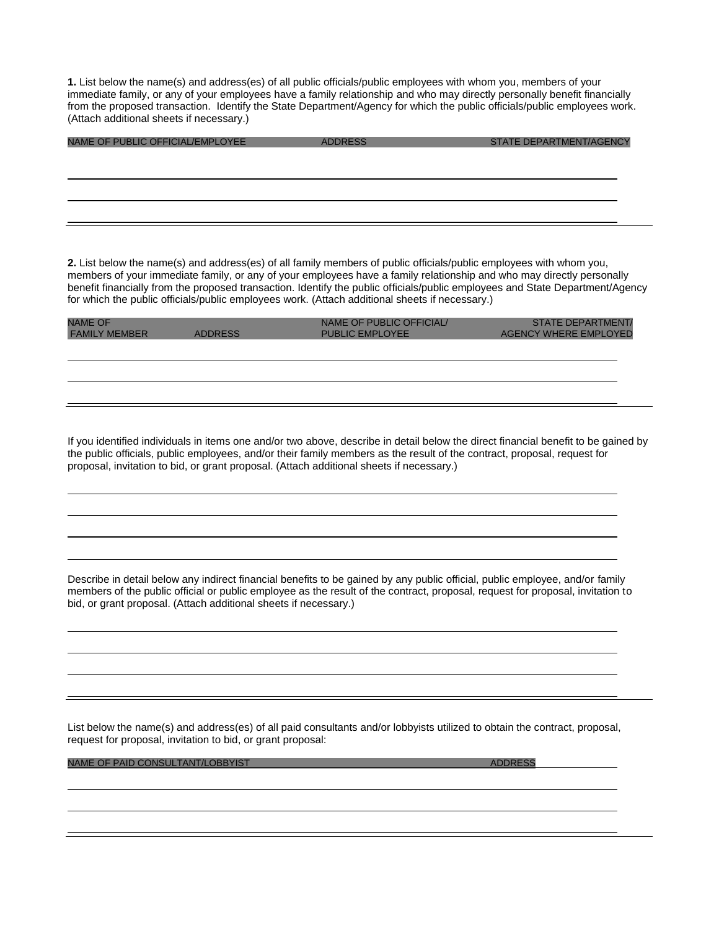**1.** List below the name(s) and address(es) of all public officials/public employees with whom you, members of your immediate family, or any of your employees have a family relationship and who may directly personally benefit financially from the proposed transaction. Identify the State Department/Agency for which the public officials/public employees work. (Attach additional sheets if necessary.)

| NAME OF PUBLIC OFFICIAL/EMPLOYEE | <b>ADDRESS</b> | STATE DEPARTMENT/AGENCY |
|----------------------------------|----------------|-------------------------|
|                                  |                |                         |
|                                  |                |                         |
|                                  |                |                         |
|                                  |                |                         |
|                                  |                |                         |

**2.** List below the name(s) and address(es) of all family members of public officials/public employees with whom you, members of your immediate family, or any of your employees have a family relationship and who may directly personally benefit financially from the proposed transaction. Identify the public officials/public employees and State Department/Agency for which the public officials/public employees work. (Attach additional sheets if necessary.)

| <b>NAME OF</b><br><b>FAMILY MEMBER</b> | <b>ADDRESS</b> | NAME OF PUBLIC OFFICIAL<br><b>PUBLIC EMPLOYEE</b> | <b>STATE DEPARTMENT/</b><br><b>AGENCY WHERE EMPLOYED</b> |
|----------------------------------------|----------------|---------------------------------------------------|----------------------------------------------------------|
|                                        |                |                                                   |                                                          |
|                                        |                |                                                   |                                                          |
|                                        |                |                                                   |                                                          |

If you identified individuals in items one and/or two above, describe in detail below the direct financial benefit to be gained by the public officials, public employees, and/or their family members as the result of the contract, proposal, request for proposal, invitation to bid, or grant proposal. (Attach additional sheets if necessary.)

Describe in detail below any indirect financial benefits to be gained by any public official, public employee, and/or family members of the public official or public employee as the result of the contract, proposal, request for proposal, invitation to bid, or grant proposal. (Attach additional sheets if necessary.)

List below the name(s) and address(es) of all paid consultants and/or lobbyists utilized to obtain the contract, proposal, request for proposal, invitation to bid, or grant proposal:

NAME OF PAID CONSULTANT/LOBBYIST ADDRESS ADDRESS